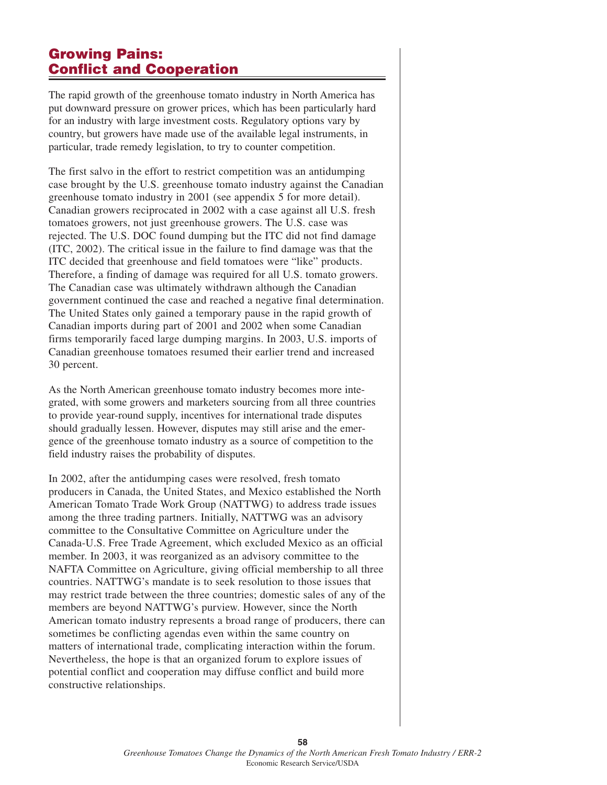## **Growing Pains: Conflict and Cooperation**

The rapid growth of the greenhouse tomato industry in North America has put downward pressure on grower prices, which has been particularly hard for an industry with large investment costs. Regulatory options vary by country, but growers have made use of the available legal instruments, in particular, trade remedy legislation, to try to counter competition.

The first salvo in the effort to restrict competition was an antidumping case brought by the U.S. greenhouse tomato industry against the Canadian greenhouse tomato industry in 2001 (see appendix 5 for more detail). Canadian growers reciprocated in 2002 with a case against all U.S. fresh tomatoes growers, not just greenhouse growers. The U.S. case was rejected. The U.S. DOC found dumping but the ITC did not find damage (ITC, 2002). The critical issue in the failure to find damage was that the ITC decided that greenhouse and field tomatoes were "like" products. Therefore, a finding of damage was required for all U.S. tomato growers. The Canadian case was ultimately withdrawn although the Canadian government continued the case and reached a negative final determination. The United States only gained a temporary pause in the rapid growth of Canadian imports during part of 2001 and 2002 when some Canadian firms temporarily faced large dumping margins. In 2003, U.S. imports of Canadian greenhouse tomatoes resumed their earlier trend and increased 30 percent.

As the North American greenhouse tomato industry becomes more integrated, with some growers and marketers sourcing from all three countries to provide year-round supply, incentives for international trade disputes should gradually lessen. However, disputes may still arise and the emergence of the greenhouse tomato industry as a source of competition to the field industry raises the probability of disputes.

In 2002, after the antidumping cases were resolved, fresh tomato producers in Canada, the United States, and Mexico established the North American Tomato Trade Work Group (NATTWG) to address trade issues among the three trading partners. Initially, NATTWG was an advisory committee to the Consultative Committee on Agriculture under the Canada-U.S. Free Trade Agreement, which excluded Mexico as an official member. In 2003, it was reorganized as an advisory committee to the NAFTA Committee on Agriculture, giving official membership to all three countries. NATTWG's mandate is to seek resolution to those issues that may restrict trade between the three countries; domestic sales of any of the members are beyond NATTWG's purview. However, since the North American tomato industry represents a broad range of producers, there can sometimes be conflicting agendas even within the same country on matters of international trade, complicating interaction within the forum. Nevertheless, the hope is that an organized forum to explore issues of potential conflict and cooperation may diffuse conflict and build more constructive relationships.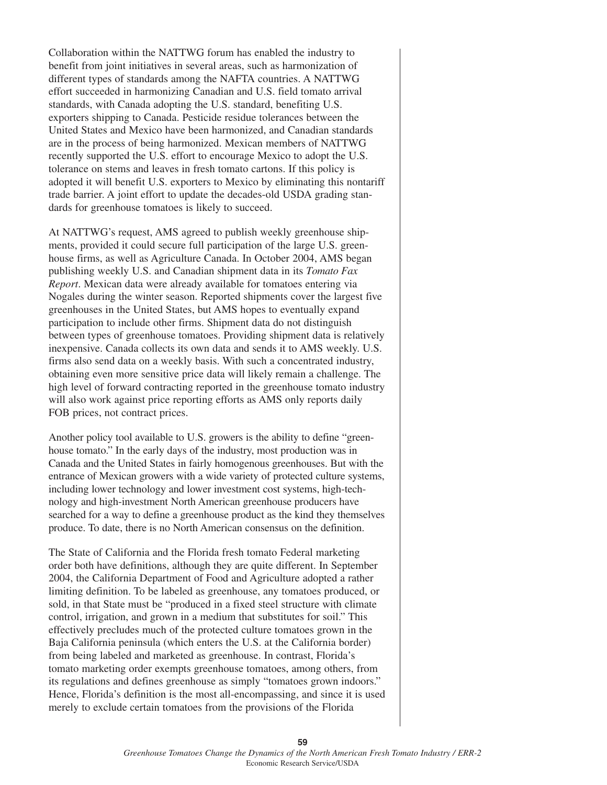Collaboration within the NATTWG forum has enabled the industry to benefit from joint initiatives in several areas, such as harmonization of different types of standards among the NAFTA countries. A NATTWG effort succeeded in harmonizing Canadian and U.S. field tomato arrival standards, with Canada adopting the U.S. standard, benefiting U.S. exporters shipping to Canada. Pesticide residue tolerances between the United States and Mexico have been harmonized, and Canadian standards are in the process of being harmonized. Mexican members of NATTWG recently supported the U.S. effort to encourage Mexico to adopt the U.S. tolerance on stems and leaves in fresh tomato cartons. If this policy is adopted it will benefit U.S. exporters to Mexico by eliminating this nontariff trade barrier. A joint effort to update the decades-old USDA grading standards for greenhouse tomatoes is likely to succeed.

At NATTWG's request, AMS agreed to publish weekly greenhouse shipments, provided it could secure full participation of the large U.S. greenhouse firms, as well as Agriculture Canada. In October 2004, AMS began publishing weekly U.S. and Canadian shipment data in its *Tomato Fax Report*. Mexican data were already available for tomatoes entering via Nogales during the winter season. Reported shipments cover the largest five greenhouses in the United States, but AMS hopes to eventually expand participation to include other firms. Shipment data do not distinguish between types of greenhouse tomatoes. Providing shipment data is relatively inexpensive. Canada collects its own data and sends it to AMS weekly. U.S. firms also send data on a weekly basis. With such a concentrated industry, obtaining even more sensitive price data will likely remain a challenge. The high level of forward contracting reported in the greenhouse tomato industry will also work against price reporting efforts as AMS only reports daily FOB prices, not contract prices.

Another policy tool available to U.S. growers is the ability to define "greenhouse tomato." In the early days of the industry, most production was in Canada and the United States in fairly homogenous greenhouses. But with the entrance of Mexican growers with a wide variety of protected culture systems, including lower technology and lower investment cost systems, high-technology and high-investment North American greenhouse producers have searched for a way to define a greenhouse product as the kind they themselves produce. To date, there is no North American consensus on the definition.

The State of California and the Florida fresh tomato Federal marketing order both have definitions, although they are quite different. In September 2004, the California Department of Food and Agriculture adopted a rather limiting definition. To be labeled as greenhouse, any tomatoes produced, or sold, in that State must be "produced in a fixed steel structure with climate control, irrigation, and grown in a medium that substitutes for soil." This effectively precludes much of the protected culture tomatoes grown in the Baja California peninsula (which enters the U.S. at the California border) from being labeled and marketed as greenhouse. In contrast, Florida's tomato marketing order exempts greenhouse tomatoes, among others, from its regulations and defines greenhouse as simply "tomatoes grown indoors." Hence, Florida's definition is the most all-encompassing, and since it is used merely to exclude certain tomatoes from the provisions of the Florida